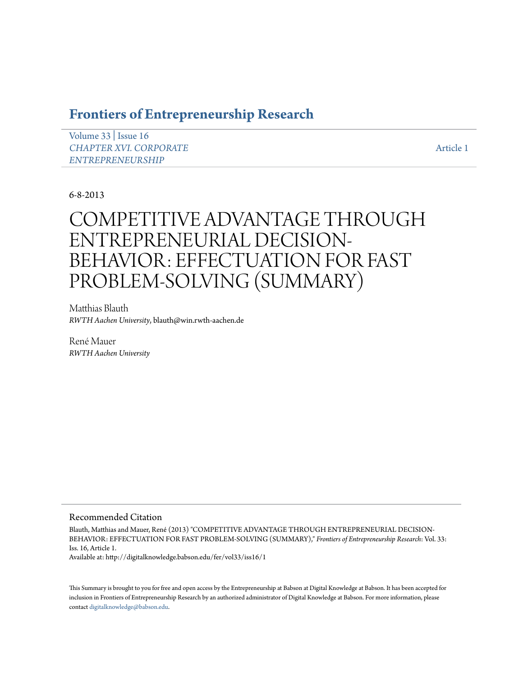# **[Frontiers of Entrepreneurship Research](http://digitalknowledge.babson.edu/fer)**

[Volume 33](http://digitalknowledge.babson.edu/fer/vol33) | [Issue 16](http://digitalknowledge.babson.edu/fer/vol33/iss16) *[CHAPTER XVI. CORPORATE](http://digitalknowledge.babson.edu/fer/vol33/iss16) [ENTREPRENEURSHIP](http://digitalknowledge.babson.edu/fer/vol33/iss16)*

[Article 1](http://digitalknowledge.babson.edu/fer/vol33/iss16/1)

6-8-2013

# COMPETITIVE ADVANTAGE THROUGH ENTREPRENEURIAL DECISION-BEHAVIOR: EFFECTUATION FOR FAST PROBLEM-SOLVING (SUMMARY)

Matthias Blauth *RWTH Aachen University*, blauth@win.rwth-aachen.de

René Mauer *RWTH Aachen University*

## Recommended Citation

Blauth, Matthias and Mauer, René (2013) "COMPETITIVE ADVANTAGE THROUGH ENTREPRENEURIAL DECISION-BEHAVIOR: EFFECTUATION FOR FAST PROBLEM-SOLVING (SUMMARY)," *Frontiers of Entrepreneurship Research*: Vol. 33: Iss. 16, Article 1.

Available at: http://digitalknowledge.babson.edu/fer/vol33/iss16/1

This Summary is brought to you for free and open access by the Entrepreneurship at Babson at Digital Knowledge at Babson. It has been accepted for inclusion in Frontiers of Entrepreneurship Research by an authorized administrator of Digital Knowledge at Babson. For more information, please contact [digitalknowledge@babson.edu](mailto:digitalknowledge@babson.edu).